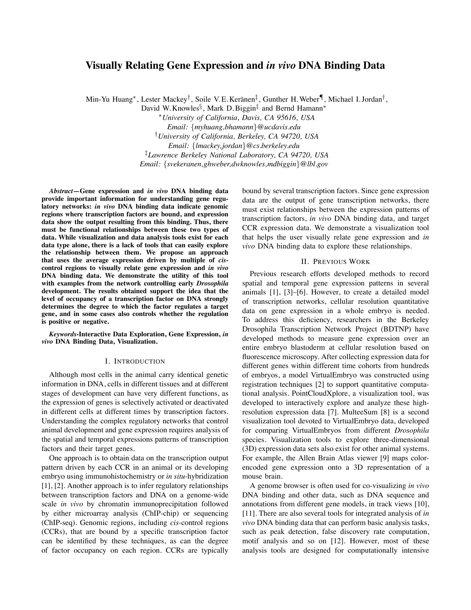# **Visually Relating Gene Expression and** *in vivo* **DNA Binding Data**

Min-Yu Huang<sup>∗</sup>, Lester Mackey<sup>†</sup>, Soile V. E. Keränen<sup>‡</sup>, Gunther H. Weber¶, Michael I. Jordan<sup>†</sup>,

David W. Knowles<sup>§</sup>, Mark D. Biggin<sup>‡</sup> and Bernd Hamann<sup>∗</sup>

<sup>∗</sup>*University of California, Davis, CA 95616, USA Email:* {*myhuang,bhamann*}*@ucdavis.edu* †*University of California, Berkeley, CA 94720, USA Email:* {*lmackey,jordan*}*@cs.berkeley.edu* ‡*Lawrence Berkeley National Laboratory, CA 94720, USA Email:* {*svekeranen,ghweber,dwknowles,mdbiggin*}*@lbl.gov*

*Abstract***—Gene expression and** *in vivo* **DNA binding data provide important information for understanding gene regulatory networks:** *in vivo* **DNA binding data indicate genomic regions where transcription factors are bound, and expression data show the output resulting from this binding. Thus, there must be functional relationships between these two types of data. While visualization and data analysis tools exist for each data type alone, there is a lack of tools that can easily explore the relationship between them. We propose an approach that uses the average expression driven by multiple of** *cis***control regions to visually relate gene expression and** *in vivo* **DNA binding data. We demonstrate the utility of this tool with examples from the network controlling early** *Drosophila* **development. The results obtained support the idea that the level of occupancy of a transcription factor on DNA strongly determines the degree to which the factor regulates a target gene, and in some cases also controls whether the regulation is positive or negative.**

*Keywords***-Interactive Data Exploration, Gene Expression,** *in vivo* **DNA Binding Data, Visualization.**

#### I. INTRODUCTION

Although most cells in the animal carry identical genetic information in DNA, cells in different tissues and at different stages of development can have very different functions, as the expression of genes is selectively activated or deactivated in different cells at different times by transcription factors. Understanding the complex regulatory networks that control animal development and gene expression requires analysis of the spatial and temporal expressions patterns of transcription factors and their target genes.

One approach is to obtain data on the transcription output pattern driven by each CCR in an animal or its developing embryo using immunohistochemistry or *in situ-*hybridization [1], [2]. Another approach is to infer regulatory relationships between transcription factors and DNA on a genome-wide scale *in vivo* by chromatin immunoprecipitation followed by either microarray analysis (ChIP-chip) or sequencing (ChIP-seq). Genomic regions, including *cis*-control regions (CCRs), that are bound by a specific transcription factor can be identified by these techniques, as can the degree of factor occupancy on each region. CCRs are typically bound by several transcription factors. Since gene expression data are the output of gene transcription networks, there must exist relationships between the expression patterns of transcription factors, *in vivo* DNA binding data, and target CCR expression data. We demonstrate a visualization tool that helps the user visually relate gene expression and *in vivo* DNA binding data to explore these relationships.

## II. PREVIOUS WORK

Previous research efforts developed methods to record spatial and temporal gene expression patterns in several animals [1], [3]–[6]. However, to create a detailed model of transcription networks, cellular resolution quantitative data on gene expression in a whole embryo is needed. To address this deficiency, researchers in the Berkeley Drosophila Transcription Network Project (BDTNP) have developed methods to measure gene expression over an entire embryo blastoderm at cellular resolution based on fluorescence microscopy. After collecting expression data for different genes within different time cohorts from hundreds of embryos, a model VirtualEmbryo was constructed using registration techniques [2] to support quantitative computational analysis. PointCloudXplore, a visualization tool, was developed to interactively explore and analyze these highresolution expression data [7]. MulteeSum [8] is a second visualization tool devoted to VirtualEmbryo data, developed for comparing VirtualEmbryos from different *Drosophila* species. Visualization tools to explore three-dimensional (3D) expression data sets also exist for other animal systems. For example, the Allen Brain Atlas viewer [9] maps colorencoded gene expression onto a 3D representation of a mouse brain.

A genome browser is often used for co-visualizing *in vivo* DNA binding and other data, such as DNA sequence and annotations from different gene models, in track views [10], [11]. There are also several tools for integrated analysis of *in vivo* DNA binding data that can perform basic analysis tasks, such as peak detection, false discovery rate computation, motif analysis and so on [12]. However, most of these analysis tools are designed for computationally intensive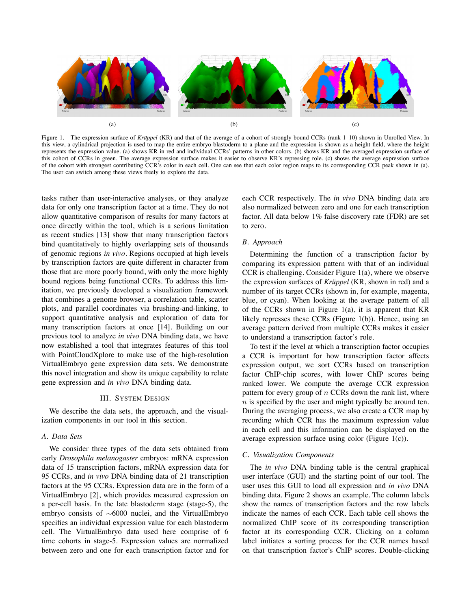

Figure 1. The expression surface of *Krüppel* (KR) and that of the average of a cohort of strongly bound CCRs (rank 1-10) shown in Unrolled View. In this view, a cylindrical projection is used to map the entire embryo blastoderm to a plane and the expression is shown as a height field, where the height represents the expression value. (a) shows KR in red and individual CCRs' patterns in other colors. (b) shows KR and the averaged expression surface of this cohort of CCRs in green. The average expression surface makes it easier to observe KR's repressing role. (c) shows the average expression surface of the cohort with strongest contributing CCR's color in each cell. One can see that each color region maps to its corresponding CCR peak shown in (a). The user can switch among these views freely to explore the data.

tasks rather than user-interactive analyses, or they analyze data for only one transcription factor at a time. They do not allow quantitative comparison of results for many factors at once directly within the tool, which is a serious limitation as recent studies [13] show that many transcription factors bind quantitatively to highly overlapping sets of thousands of genomic regions *in vivo*. Regions occupied at high levels by transcription factors are quite different in character from those that are more poorly bound, with only the more highly bound regions being functional CCRs. To address this limitation, we previously developed a visualization framework that combines a genome browser, a correlation table, scatter plots, and parallel coordinates via brushing-and-linking, to support quantitative analysis and exploration of data for many transcription factors at once [14]. Building on our previous tool to analyze *in vivo* DNA binding data, we have now established a tool that integrates features of this tool with PointCloudXplore to make use of the high-resolution VirtualEmbryo gene expression data sets. We demonstrate this novel integration and show its unique capability to relate gene expression and *in vivo* DNA binding data.

## III. SYSTEM DESIGN

We describe the data sets, the approach, and the visualization components in our tool in this section.

### *A. Data Sets*

We consider three types of the data sets obtained from early *Drosophila melanogaster* embryos: mRNA expression data of 15 transcription factors, mRNA expression data for 95 CCRs, and *in vivo* DNA binding data of 21 transcription factors at the 95 CCRs. Expression data are in the form of a VirtualEmbryo [2], which provides measured expression on a per-cell basis. In the late blastoderm stage (stage-5), the embryo consists of ∼6000 nuclei, and the VirtualEmbryo specifies an individual expression value for each blastoderm cell. The VirtualEmbryo data used here comprise of 6 time cohorts in stage-5. Expression values are normalized between zero and one for each transcription factor and for each CCR respectively. The *in vivo* DNA binding data are also normalized between zero and one for each transcription factor. All data below 1% false discovery rate (FDR) are set to zero.

## *B. Approach*

Determining the function of a transcription factor by comparing its expression pattern with that of an individual CCR is challenging. Consider Figure 1(a), where we observe the expression surfaces of *Krüppel (KR, shown in red)* and a number of its target CCRs (shown in, for example, magenta, blue, or cyan). When looking at the average pattern of all of the CCRs shown in Figure 1(a), it is apparent that KR likely represses these CCRs (Figure 1(b)). Hence, using an average pattern derived from multiple CCRs makes it easier to understand a transcription factor's role.

To test if the level at which a transcription factor occupies a CCR is important for how transcription factor affects expression output, we sort CCRs based on transcription factor ChIP-chip scores, with lower ChIP scores being ranked lower. We compute the average CCR expression pattern for every group of  $n$  CCRs down the rank list, where  $n$  is specified by the user and might typically be around ten. During the averaging process, we also create a CCR map by recording which CCR has the maximum expression value in each cell and this information can be displayed on the average expression surface using color (Figure 1(c)).

### *C. Visualization Components*

The *in vivo* DNA binding table is the central graphical user interface (GUI) and the starting point of our tool. The user uses this GUI to load all expression and *in vivo* DNA binding data. Figure 2 shows an example. The column labels show the names of transcription factors and the row labels indicate the names of each CCR. Each table cell shows the normalized ChIP score of its corresponding transcription factor at its corresponding CCR. Clicking on a column label initiates a sorting process for the CCR names based on that transcription factor's ChIP scores. Double-clicking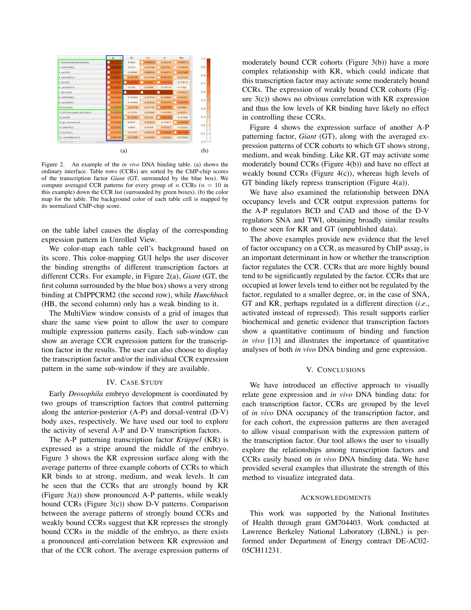

Figure 2. An example of the *in vivo* DNA binding table. (a) shows the ordinary interface. Table rows (CCRs) are sorted by the ChIP-chip scores of the transcription factor *Giant* (GT, surrounded by the blue box). We compute averaged CCR patterns for every group of  $n$  CCRs ( $n = 10$  in this example) down the CCR list (surrounded by green boxes). (b) the color map for the table. The background color of each table cell is mapped by its normalized ChIP-chip score.

on the table label causes the display of the corresponding expression pattern in Unrolled View.

We color-map each table cell's background based on its score. This color-mapping GUI helps the user discover the binding strengths of different transcription factors at different CCRs. For example, in Figure 2(a), *Giant* (GT, the first column surrounded by the blue box) shows a very strong binding at ChIPPCRM2 (the second row), while *Hunchback* (HB, the second column) only has a weak binding to it.

The MultiView window consists of a grid of images that share the same view point to allow the user to compare multiple expression patterns easily. Each sub-window can show an average CCR expression pattern for the transcription factor in the results. The user can also choose to display the transcription factor and/or the individual CCR expression pattern in the same sub-window if they are available.

## IV. CASE STUDY

Early *Drosophila* embryo development is coordinated by two groups of transcription factors that control patterning along the anterior-posterior (A-P) and dorsal-ventral (D-V) body axes, respectively. We have used our tool to explore the activity of several A-P and D-V transcription factors.

The A-P patterning transcription factor *Krüppel* (KR) is expressed as a stripe around the middle of the embryo. Figure 3 shows the KR expression surface along with the average patterns of three example cohorts of CCRs to which KR binds to at strong, medium, and weak levels. It can be seen that the CCRs that are strongly bound by KR (Figure 3(a)) show pronounced A-P patterns, while weakly bound CCRs (Figure 3(c)) show D-V patterns. Comparison between the average patterns of strongly bound CCRs and weakly bound CCRs suggest that KR represses the strongly bound CCRs in the middle of the embryo, as there exists a pronounced anti-correlation between KR expression and that of the CCR cohort. The average expression patterns of moderately bound CCR cohorts (Figure 3(b)) have a more complex relationship with KR, which could indicate that this transcription factor may activate some moderately bound CCRs. The expression of weakly bound CCR cohorts (Figure  $3(c)$ ) shows no obvious correlation with KR expression and thus the low levels of KR binding have likely no effect in controlling these CCRs.

Figure 4 shows the expression surface of another A-P patterning factor, *Giant* (GT), along with the averaged expression patterns of CCR cohorts to which GT shows strong, medium, and weak binding. Like KR, GT may activate some moderately bound CCRs (Figure 4(b)) and have no effect at weakly bound CCRs (Figure 4(c)), whereas high levels of GT binding likely repress transcription (Figure 4(a)).

We have also examined the relationship between DNA occupancy levels and CCR output expression patterns for the A-P regulators BCD and CAD and those of the D-V regulators SNA and TWI, obtaining broadly similar results to those seen for KR and GT (unpublished data).

The above examples provide new evidence that the level of factor occupancy on a CCR, as measured by ChIP assay, is an important determinant in how or whether the transcription factor regulates the CCR. CCRs that are more highly bound tend to be significantly regulated by the factor. CCRs that are occupied at lower levels tend to either not be regulated by the factor, regulated to a smaller degree, or, in the case of SNA, GT and KR, perhaps regulated in a different direction (*i.e.*, activated instead of repressed). This result supports earlier biochemical and genetic evidence that transcription factors show a quantitative continuum of binding and function *in vivo* [13] and illustrates the importance of quantitative analyses of both *in vivo* DNA binding and gene expression.

## V. CONCLUSIONS

We have introduced an effective approach to visually relate gene expression and *in vivo* DNA binding data: for each transcription factor, CCRs are grouped by the level of *in vivo* DNA occupancy of the transcription factor, and for each cohort, the expression patterns are then averaged to allow visual comparison with the expression pattern of the transcription factor. Our tool allows the user to visually explore the relationships among transcription factors and CCRs easily based on *in vivo* DNA binding data. We have provided several examples that illustrate the strength of this method to visualize integrated data.

#### ACKNOWLEDGMENTS

This work was supported by the National Institutes of Health through grant GM704403. Work conducted at Lawrence Berkeley National Laboratory (LBNL) is performed under Department of Energy contract DE-AC02- 05CH11231.